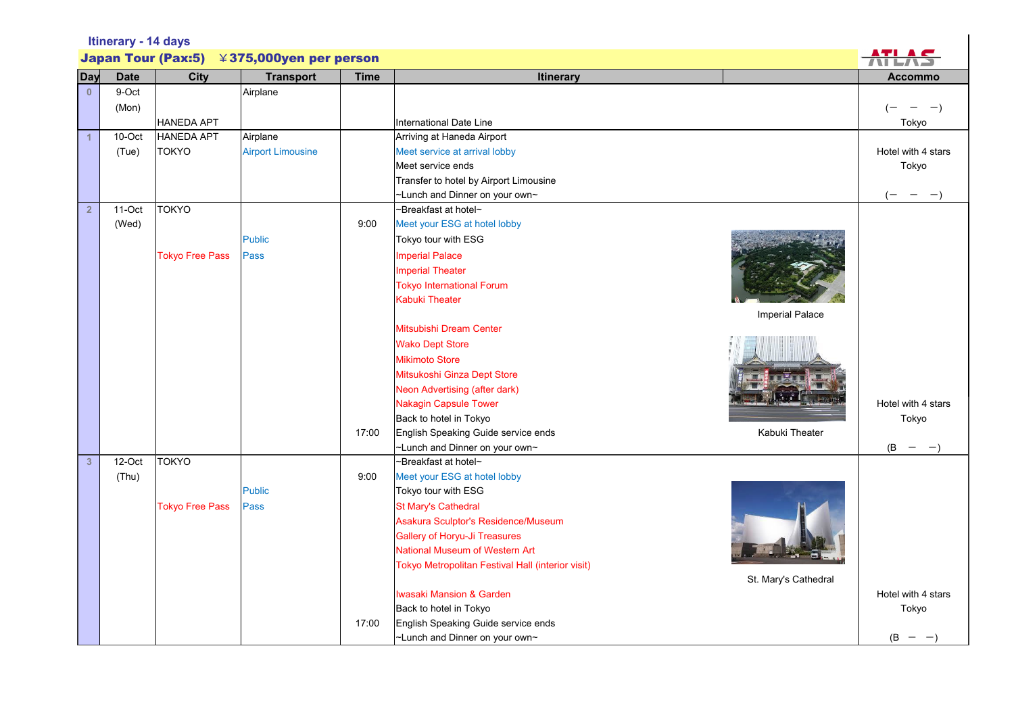| Itinerary - 14 days                                 |             |                        |                          |             |                                                       |                                          |  |  |
|-----------------------------------------------------|-------------|------------------------|--------------------------|-------------|-------------------------------------------------------|------------------------------------------|--|--|
| <b>Japan Tour (Pax:5)</b><br>¥375,000yen per person |             |                        |                          |             |                                                       |                                          |  |  |
| Day                                                 | <b>Date</b> | <b>City</b>            | <b>Transport</b>         | <b>Time</b> | Itinerary                                             | <b>Accommo</b>                           |  |  |
| $\mathbf{0}$                                        | 9-Oct       |                        | Airplane                 |             |                                                       |                                          |  |  |
|                                                     | (Mon)       |                        |                          |             |                                                       | $-$                                      |  |  |
|                                                     |             | <b>HANEDA APT</b>      |                          |             | <b>International Date Line</b>                        | Tokyo                                    |  |  |
| $\overline{1}$                                      | 10-Oct      | <b>HANEDA APT</b>      | Airplane                 |             | Arriving at Haneda Airport                            |                                          |  |  |
|                                                     | (Tue)       | <b>TOKYO</b>           | <b>Airport Limousine</b> |             | Meet service at arrival lobby                         | Hotel with 4 stars                       |  |  |
|                                                     |             |                        |                          |             | Meet service ends                                     | Tokyo                                    |  |  |
|                                                     |             |                        |                          |             | Transfer to hotel by Airport Limousine                |                                          |  |  |
|                                                     |             |                        |                          |             | ~Lunch and Dinner on your own~                        | $(-)$<br>$- -$                           |  |  |
| 2 <sup>2</sup>                                      | $11-Oct$    | <b>TOKYO</b>           |                          |             | ~Breakfast at hotel~                                  |                                          |  |  |
|                                                     | (Wed)       |                        |                          | 9:00        | Meet your ESG at hotel lobby                          |                                          |  |  |
|                                                     |             |                        | <b>Public</b>            |             | Tokyo tour with ESG                                   |                                          |  |  |
|                                                     |             | <b>Tokyo Free Pass</b> | Pass                     |             | <b>Imperial Palace</b>                                |                                          |  |  |
|                                                     |             |                        |                          |             | <b>Imperial Theater</b>                               |                                          |  |  |
|                                                     |             |                        |                          |             | <b>Tokyo International Forum</b>                      |                                          |  |  |
|                                                     |             |                        |                          |             | Kabuki Theater                                        |                                          |  |  |
|                                                     |             |                        |                          |             | Imperial Palace<br>Mitsubishi Dream Center            |                                          |  |  |
|                                                     |             |                        |                          |             | <b>Wako Dept Store</b>                                |                                          |  |  |
|                                                     |             |                        |                          |             | <b>Mikimoto Store</b>                                 |                                          |  |  |
|                                                     |             |                        |                          |             | Mitsukoshi Ginza Dept Store                           |                                          |  |  |
|                                                     |             |                        |                          |             | Neon Advertising (after dark)                         |                                          |  |  |
|                                                     |             |                        |                          |             | <b>Nakagin Capsule Tower</b>                          | Hotel with 4 stars                       |  |  |
|                                                     |             |                        |                          |             | Back to hotel in Tokyo                                | Tokyo                                    |  |  |
|                                                     |             |                        |                          | 17:00       | English Speaking Guide service ends<br>Kabuki Theater |                                          |  |  |
|                                                     |             |                        |                          |             | ~Lunch and Dinner on your own~                        | (B)<br>$\overline{\phantom{m}}$<br>$-$ ) |  |  |
| 3 <sup>1</sup>                                      | 12-Oct      | <b>TOKYO</b>           |                          |             | ~Breakfast at hotel~                                  |                                          |  |  |
|                                                     | (Thu)       |                        |                          | 9:00        | Meet your ESG at hotel lobby                          |                                          |  |  |
|                                                     |             |                        | <b>Public</b>            |             | Tokyo tour with ESG                                   |                                          |  |  |
|                                                     |             | <b>Tokyo Free Pass</b> | Pass                     |             | <b>St Mary's Cathedral</b>                            |                                          |  |  |
|                                                     |             |                        |                          |             | Asakura Sculptor's Residence/Museum                   |                                          |  |  |
|                                                     |             |                        |                          |             | <b>Gallery of Horyu-Ji Treasures</b>                  |                                          |  |  |
|                                                     |             |                        |                          |             | National Museum of Western Art                        |                                          |  |  |
|                                                     |             |                        |                          |             | Tokyo Metropolitan Festival Hall (interior visit)     |                                          |  |  |
|                                                     |             |                        |                          |             | St. Mary's Cathedral                                  |                                          |  |  |
|                                                     |             |                        |                          |             | <b>Iwasaki Mansion &amp; Garden</b>                   | Hotel with 4 stars                       |  |  |
|                                                     |             |                        |                          |             | Back to hotel in Tokyo                                | Tokyo                                    |  |  |
|                                                     |             |                        |                          | 17:00       | English Speaking Guide service ends                   |                                          |  |  |
|                                                     |             |                        |                          |             | ~Lunch and Dinner on your own~                        | $(B - -)$                                |  |  |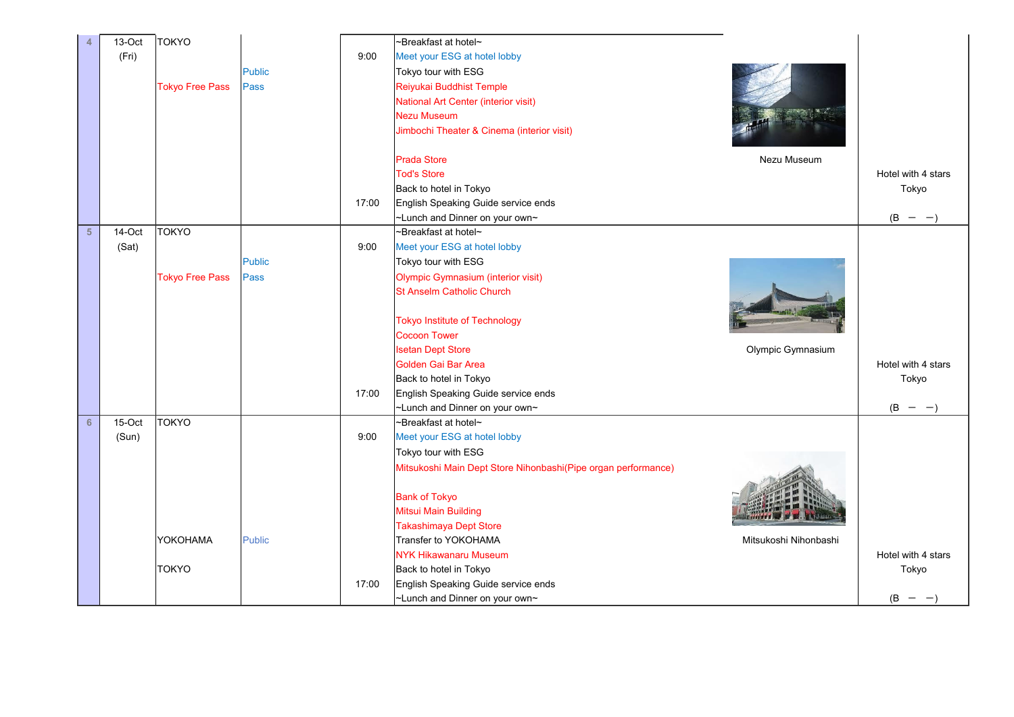| 13-Oct<br>4              | <b>TOKYO</b>           |               |       | ~Breakfast at hotel~                                          |                       |                    |
|--------------------------|------------------------|---------------|-------|---------------------------------------------------------------|-----------------------|--------------------|
| (Fri)                    |                        |               | 9:00  | Meet your ESG at hotel lobby                                  |                       |                    |
|                          |                        | <b>Public</b> |       | Tokyo tour with ESG                                           |                       |                    |
|                          | <b>Tokyo Free Pass</b> | Pass          |       | Reiyukai Buddhist Temple                                      |                       |                    |
|                          |                        |               |       | National Art Center (interior visit)                          |                       |                    |
|                          |                        |               |       | <b>Nezu Museum</b>                                            |                       |                    |
|                          |                        |               |       | Jimbochi Theater & Cinema (interior visit)                    |                       |                    |
|                          |                        |               |       |                                                               |                       |                    |
|                          |                        |               |       | <b>Prada Store</b>                                            | Nezu Museum           |                    |
|                          |                        |               |       | <b>Tod's Store</b>                                            |                       | Hotel with 4 stars |
|                          |                        |               |       | Back to hotel in Tokyo                                        |                       | Tokyo              |
|                          |                        |               | 17:00 | English Speaking Guide service ends                           |                       |                    |
|                          |                        |               |       | ~Lunch and Dinner on your own~                                |                       | (B)<br>$ -$        |
| 5 <sup>5</sup><br>14-Oct | <b>TOKYO</b>           |               |       | ~Breakfast at hotel~                                          |                       |                    |
| (Sat)                    |                        |               | 9:00  | Meet your ESG at hotel lobby                                  |                       |                    |
|                          |                        | <b>Public</b> |       | Tokyo tour with ESG                                           |                       |                    |
|                          | <b>Tokyo Free Pass</b> | Pass          |       | <b>Olympic Gymnasium (interior visit)</b>                     |                       |                    |
|                          |                        |               |       | <b>St Anselm Catholic Church</b>                              |                       |                    |
|                          |                        |               |       |                                                               |                       |                    |
|                          |                        |               |       | <b>Tokyo Institute of Technology</b>                          |                       |                    |
|                          |                        |               |       | <b>Cocoon Tower</b>                                           |                       |                    |
|                          |                        |               |       | <b>Isetan Dept Store</b>                                      | Olympic Gymnasium     |                    |
|                          |                        |               |       | Golden Gai Bar Area                                           |                       | Hotel with 4 stars |
|                          |                        |               |       | Back to hotel in Tokyo                                        |                       | Tokyo              |
|                          |                        |               | 17:00 | English Speaking Guide service ends                           |                       |                    |
|                          |                        |               |       | ~Lunch and Dinner on your own~                                |                       | $(B - -)$          |
| 15-Oct<br>6              | <b>TOKYO</b>           |               |       | ~Breakfast at hotel~                                          |                       |                    |
| (Sun)                    |                        |               | 9:00  | Meet your ESG at hotel lobby                                  |                       |                    |
|                          |                        |               |       | Tokyo tour with ESG                                           |                       |                    |
|                          |                        |               |       | Mitsukoshi Main Dept Store Nihonbashi(Pipe organ performance) |                       |                    |
|                          |                        |               |       |                                                               |                       |                    |
|                          |                        |               |       | <b>Bank of Tokyo</b>                                          |                       |                    |
|                          |                        |               |       | <b>Mitsui Main Building</b>                                   |                       |                    |
|                          |                        |               |       | Takashimaya Dept Store                                        |                       |                    |
|                          | YOKOHAMA               | <b>Public</b> |       | Transfer to YOKOHAMA                                          | Mitsukoshi Nihonbashi |                    |
|                          |                        |               |       | <b>NYK Hikawanaru Museum</b>                                  |                       | Hotel with 4 stars |
|                          | <b>TOKYO</b>           |               |       | Back to hotel in Tokyo                                        |                       | Tokyo              |
|                          |                        |               | 17:00 | English Speaking Guide service ends                           |                       |                    |
|                          |                        |               |       | ~Lunch and Dinner on your own~                                |                       | (B<br>$\sim$ $-$   |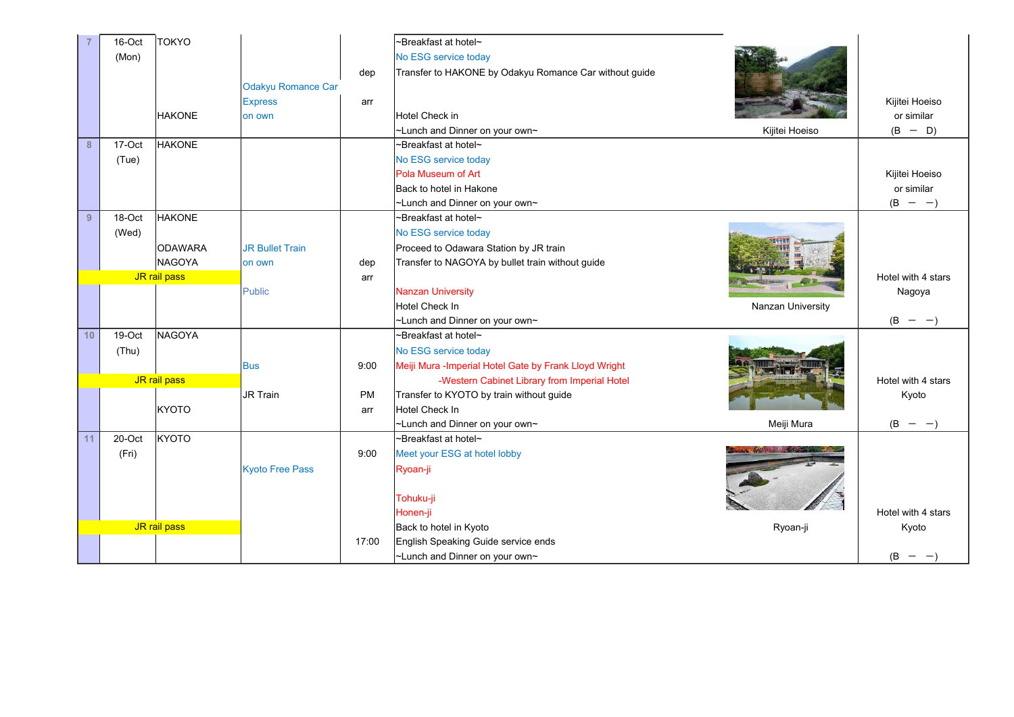|    | 16-Oct | <b>TOKYO</b>   |                           |           | ~Breakfast at hotel~                                   |                   |                    |
|----|--------|----------------|---------------------------|-----------|--------------------------------------------------------|-------------------|--------------------|
|    | (Mon)  |                |                           |           | No ESG service today                                   |                   |                    |
|    |        |                |                           | dep       | Transfer to HAKONE by Odakyu Romance Car without guide |                   |                    |
|    |        |                | <b>Odakyu Romance Car</b> |           |                                                        |                   |                    |
|    |        |                |                           |           |                                                        |                   | Kijitei Hoeiso     |
|    |        |                | <b>Express</b>            | arr       | Hotel Check in                                         |                   | or similar         |
|    |        | <b>HAKONE</b>  | on own                    |           |                                                        |                   |                    |
|    |        |                |                           |           | ~Lunch and Dinner on your own~                         | Kijitei Hoeiso    | $(B - D)$          |
| 8  | 17-Oct | <b>HAKONE</b>  |                           |           | ~Breakfast at hotel~                                   |                   |                    |
|    | (Tue)  |                |                           |           | No ESG service today                                   |                   |                    |
|    |        |                |                           |           | Pola Museum of Art                                     |                   | Kijitei Hoeiso     |
|    |        |                |                           |           | Back to hotel in Hakone                                |                   | or similar         |
|    |        |                |                           |           | ~Lunch and Dinner on your own~                         |                   | $(B - -)$          |
| 9  | 18-Oct | <b>HAKONE</b>  |                           |           | ~Breakfast at hotel~                                   |                   |                    |
|    | (Wed)  |                |                           |           | No ESG service today                                   |                   |                    |
|    |        | <b>ODAWARA</b> | <b>JR Bullet Train</b>    |           | Proceed to Odawara Station by JR train                 |                   |                    |
|    |        | <b>NAGOYA</b>  | on own                    | dep       | Transfer to NAGOYA by bullet train without guide       |                   |                    |
|    |        | JR rail pass   |                           | arr       |                                                        |                   | Hotel with 4 stars |
|    |        |                | Public                    |           | <b>Nanzan University</b>                               |                   | Nagoya             |
|    |        |                |                           |           | <b>Hotel Check In</b>                                  | Nanzan University |                    |
|    |        |                |                           |           | ~Lunch and Dinner on your own~                         |                   | $(B - -)$          |
| 10 | 19-Oct | <b>NAGOYA</b>  |                           |           | ~Breakfast at hotel~                                   |                   |                    |
|    | (Thu)  |                |                           |           | No ESG service today                                   |                   |                    |
|    |        |                | <b>Bus</b>                | 9:00      | Meiji Mura - Imperial Hotel Gate by Frank Lloyd Wright |                   |                    |
|    |        | JR rail pass   |                           |           | -Western Cabinet Library from Imperial Hotel           |                   | Hotel with 4 stars |
|    |        |                | <b>JR Train</b>           | <b>PM</b> | Transfer to KYOTO by train without guide               |                   | Kyoto              |
|    |        | <b>KYOTO</b>   |                           | arr       | Hotel Check In                                         |                   |                    |
|    |        |                |                           |           | ~Lunch and Dinner on your own~                         | Meiji Mura        | (B)<br>$- -$       |
| 11 | 20-Oct | <b>KYOTO</b>   |                           |           | ~Breakfast at hotel~                                   |                   |                    |
|    | (Fri)  |                |                           | 9:00      | Meet your ESG at hotel lobby                           |                   |                    |
|    |        |                | <b>Kyoto Free Pass</b>    |           | Ryoan-ji                                               |                   |                    |
|    |        |                |                           |           |                                                        |                   |                    |
|    |        |                |                           |           | Tohuku-ji                                              |                   |                    |
|    |        |                |                           |           | Honen-ji                                               |                   | Hotel with 4 stars |
|    |        | JR rail pass   |                           |           | Back to hotel in Kyoto                                 | Ryoan-ji          | Kyoto              |
|    |        |                |                           | 17:00     | English Speaking Guide service ends                    |                   |                    |
|    |        |                |                           |           | ~Lunch and Dinner on your own~                         |                   | $(B - -$           |
|    |        |                |                           |           |                                                        |                   |                    |